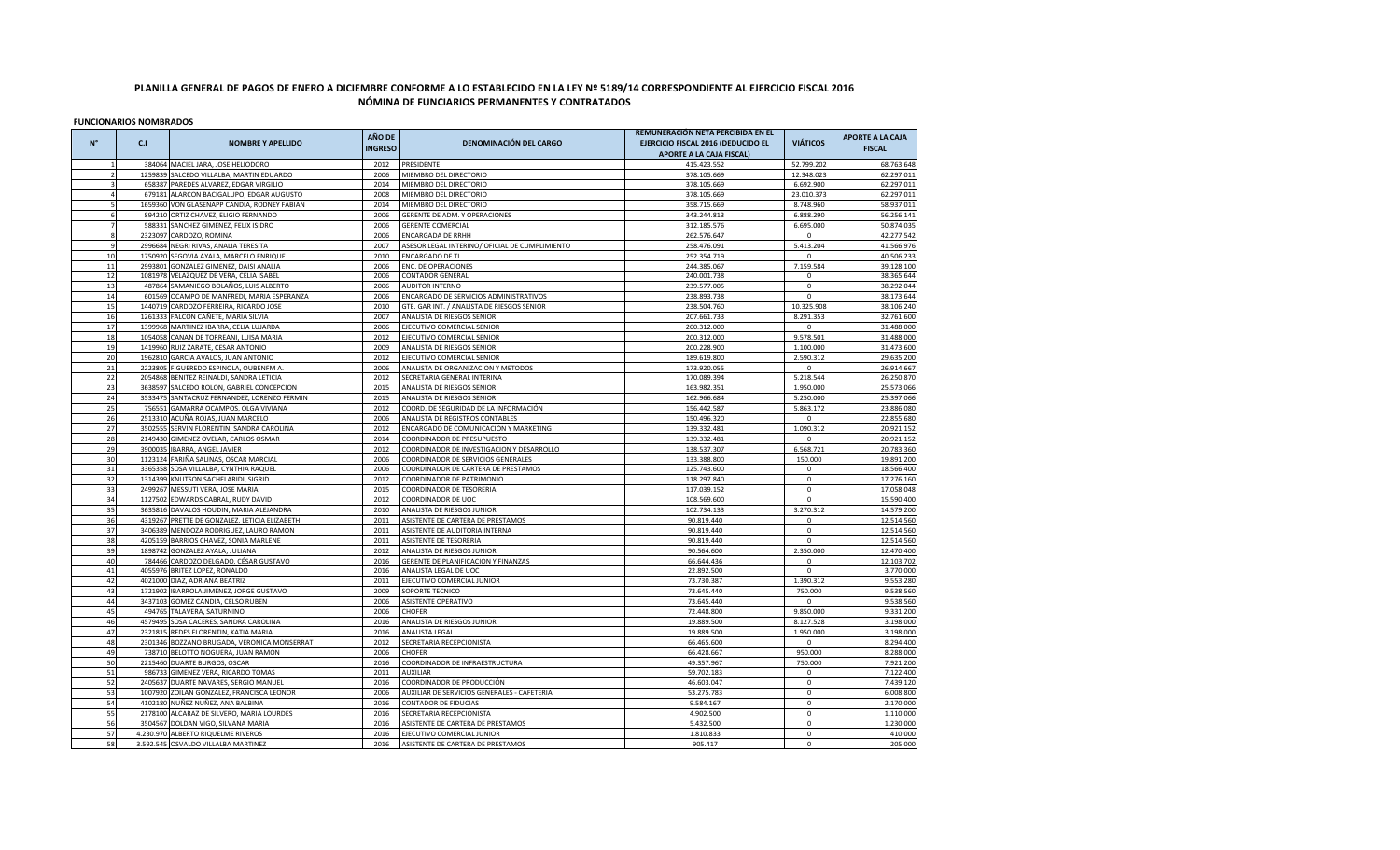## **PLANILLA GENERAL DE PAGOS DE ENERO A DICIEMBRE CONFORME A LO ESTABLECIDO EN LA LEY Nº 5189/14 CORRESPONDIENTE AL EJERCICIO FISCAL 2016 NÓMINA DE FUNCIARIOS PERMANENTES Y CONTRATADOS**

**FUNCIONARIOS NOMBRADOS**

|              |                    |                                                                   | AÑO DE         |                                                                     | REMUNERACIÓN NETA PERCIBIDA EN EL  |                          | <b>APORTE A LA CAJA</b>  |
|--------------|--------------------|-------------------------------------------------------------------|----------------|---------------------------------------------------------------------|------------------------------------|--------------------------|--------------------------|
| $N^{\circ}$  | C <sub>1</sub>     | <b>NOMBRE Y APELLIDO</b>                                          | <b>INGRESO</b> | <b>DENOMINACIÓN DEL CARGO</b>                                       | EJERCICIO FISCAL 2016 (DEDUCIDO EL | <b>VIÁTICOS</b>          | <b>FISCAL</b>            |
|              |                    |                                                                   |                |                                                                     | <b>APORTE A LA CAJA FISCAL)</b>    |                          |                          |
|              |                    | 384064 MACIEL JARA, JOSE HELIODORO                                | 2012           | PRESIDENTE                                                          | 415.423.552                        | 52.799.202               | 68.763.648               |
|              |                    | 1259839 SALCEDO VILLALBA, MARTIN EDUARDO                          | 2006           | MIEMBRO DEL DIRECTORIO                                              | 378.105.669                        | 12.348.023               | 62.297.011               |
|              |                    | 658387 PAREDES ALVAREZ, EDGAR VIRGILIO                            | 2014           | MIEMBRO DEL DIRECTORIO                                              | 378.105.669                        | 6.692.900                | 62.297.011               |
|              | 679181             | ALARCON BACIGALUPO, EDGAR AUGUSTO                                 | 2008           | MIEMBRO DEL DIRECTORIO                                              | 378.105.669                        | 23.010.373               | 62.297.011               |
|              | 1659360            | VON GLASENAPP CANDIA, RODNEY FABIAN                               | 2014           | MIEMBRO DEL DIRECTORIO                                              | 358.715.669                        | 8.748.960                | 58.937.011               |
|              |                    | 894210 ORTIZ CHAVEZ, ELIGIO FERNANDO                              | 2006           | GERENTE DE ADM. Y OPERACIONES                                       | 343.244.813                        | 6.888.290                | 56.256.141               |
|              | 588331             | SANCHEZ GIMENEZ, FELIX ISIDRO                                     | 2006           | <b>GERENTE COMERCIAL</b>                                            | 312.185.576                        | 6.695.000                | 50.874.035               |
| $\mathbf{R}$ |                    | 2323097 CARDOZO, ROMINA                                           | 2006           | <b>ENCARGADA DE RRHH</b>                                            | 262.576.647                        | $\mathbf{0}$             | 42.277.542               |
| $\alpha$     | 2996684            | NEGRI RIVAS, ANALIA TERESITA                                      | 2007           | ASESOR LEGAL INTERINO/ OFICIAL DE CUMPLIMIENTO                      | 258.476.091                        | 5.413.204                | 41.566.976               |
| 10           | 1750920            | SEGOVIA AYALA, MARCELO ENRIQUE                                    | 2010           | <b>ENCARGADO DE TI</b>                                              | 252.354.719                        | $\Omega$                 | 40.506.233               |
| 11           | 2993801            | GONZALEZ GIMENEZ, DAISI ANALIA                                    | 2006           | ENC. DE OPERACIONES                                                 | 244.385.067                        | 7.159.584                | 39.128.100               |
| 12           |                    | 1081978 VELAZQUEZ DE VERA, CELIA ISABEL                           | 2006           | <b>CONTADOR GENERAL</b>                                             | 240.001.738                        | $\mathbf 0$              | 38.365.644               |
| 13           |                    | 487864 SAMANIEGO BOLAÑOS, LUIS ALBERTO                            | 2006           | <b>AUDITOR INTERNO</b>                                              | 239.577.005                        | $\mathbf 0$              | 38.292.044               |
| 14           | 601569             | OCAMPO DE MANFREDI, MARIA ESPERANZA                               | 2006           | ENCARGADO DE SERVICIOS ADMINISTRATIVOS                              | 238.893.738                        | $\mathbf 0$              | 38.173.644               |
| 15           |                    | 1440719 CARDOZO FERREIRA, RICARDO JOSE                            | 2010           | GTE. GAR INT. / ANALISTA DE RIESGOS SENIOR                          | 238.504.760                        | 10.325.908               | 38.106.240               |
| 16           | 126133             | FALCON CAÑETE, MARIA SILVIA                                       | 2007           | ANALISTA DE RIESGOS SENIOR                                          | 207.661.733                        | 8.291.353                | 32.761.600               |
| 17           |                    | 1399968 MARTINEZ IBARRA, CELIA LUJARDA                            | 2006           | EJECUTIVO COMERCIAL SENIOR                                          | 200.312.000                        | 0                        | 31.488.000               |
| 18           | 1054058            | CANAN DE TORREANI, LUISA MARIA                                    | 2012           | EJECUTIVO COMERCIAL SENIOR                                          | 200.312.000                        | 9.578.501                | 31.488.000               |
| 19           |                    | 1419960 RUIZ ZARATE, CESAR ANTONIO                                | 2009           | ANALISTA DE RIESGOS SENIOR                                          | 200.228.900                        | 1.100.000                | 31.473.600               |
| 20           |                    | 1962810 GARCIA AVALOS, JUAN ANTONIO                               | 2012           | EJECUTIVO COMERCIAL SENIOR                                          | 189.619.800                        | 2.590.312                | 29.635.200               |
| 21           | 2223805            | FIGUEREDO ESPINOLA, OUBENFM A                                     | 2006           | ANALISTA DE ORGANIZACION Y METODOS                                  | 173.920.055                        | $\mathbf 0$              | 26.914.667               |
| 22           | 2054868            | BENITEZ REINALDI, SANDRA LETICIA                                  | 2012           | SECRETARIA GENERAL INTERINA                                         | 170.089.394                        | 5.218.544                | 26.250.870               |
| 23           | 3638597            | SALCEDO ROLON, GABRIEL CONCEPCION                                 | 2015           | ANALISTA DE RIESGOS SENIOR                                          | 163.982.351                        | 1.950.000                | 25.573.066               |
| 24           |                    | 3533475 SANTACRUZ FERNANDEZ, LORENZO FERMIN                       | 2015           | ANALISTA DE RIESGOS SENIOR                                          | 162.966.684                        | 5.250.000                | 25.397.066               |
| 25           | 756551             | GAMARRA OCAMPOS, OLGA VIVIANA                                     | 2012           | COORD. DE SEGURIDAD DE LA INFORMACIÓN                               | 156.442.587                        | 5.863.172                | 23.886.080               |
| 26           |                    | 2513310 ACUÑA ROJAS, JUAN MARCELO                                 | 2006           | ANALISTA DE REGISTROS CONTABLES                                     | 150.496.320                        | $\mathbf 0$              | 22.855.680               |
| 27           |                    |                                                                   | 2012           |                                                                     |                                    | 1.090.312                | 20.921.152               |
| 28           | 3502555<br>2149430 | SERVIN FLORENTIN, SANDRA CAROLINA<br>GIMENEZ OVELAR, CARLOS OSMAR | 2014           | ENCARGADO DE COMUNICACIÓN Y MARKETING<br>COORDINADOR DE PRESUPUESTO | 139.332.481<br>139.332.481         | $\mathbf{0}$             | 20.921.152               |
| 29           | 3900035            | IBARRA, ANGEL JAVIER                                              | 2012           | COORDINADOR DE INVESTIGACION Y DESARROLLO                           | 138.537.307                        | 6.568.721                | 20.783.360               |
| 30           |                    | 1123124 FARIÑA SALINAS, OSCAR MARCIAL                             | 2006           | COORDINADOR DE SERVICIOS GENERALES                                  | 133.388.800                        | 150.000                  | 19.891.200               |
| 31           | 3365358            |                                                                   | 2006           |                                                                     |                                    | $\mathsf 0$              |                          |
| 32           | 1314399            | SOSA VILLALBA, CYNTHIA RAQUEL<br>KNUTSON SACHELARIDI, SIGRID      | 2012           | COORDINADOR DE CARTERA DE PRESTAMOS<br>COORDINADOR DE PATRIMONIO    | 125.743.600<br>118.297.840         | $\mathbf 0$              | 18.566.400<br>17.276.160 |
|              |                    |                                                                   | 2015           |                                                                     |                                    | $\mathbf 0$              |                          |
| 33<br>34     |                    | 2499267 MESSUTI VERA, JOSE MARIA                                  | 2012           | COORDINADOR DE TESORERIA<br>COORDINADOR DE UOC                      | 117.039.152<br>108.569.600         | $\mathbf 0$              | 17.058.048               |
|              |                    | 1127502 EDWARDS CABRAL, RUDY DAVID                                |                |                                                                     |                                    |                          | 15.590.400               |
| 35           |                    | 3635816 DAVALOS HOUDIN, MARIA ALEJANDRA                           | 2010           | ANALISTA DE RIESGOS JUNIOR                                          | 102.734.133                        | 3.270.312<br>$\mathbf 0$ | 14.579.200               |
| 36           |                    | 4319267 PRETTE DE GONZALEZ, LETICIA ELIZABETH                     | 2011           | ASISTENTE DE CARTERA DE PRESTAMOS                                   | 90.819.440                         |                          | 12.514.560               |
| 37<br>38     |                    | 3406389 MENDOZA RODRIGUEZ, LAURO RAMON                            | 2011           | ASISTENTE DE AUDITORIA INTERNA                                      | 90.819.440                         | 0<br>$\Omega$            | 12.514.560               |
|              |                    | 4205159 BARRIOS CHAVEZ, SONIA MARLENE                             | 2011           | ASISTENTE DE TESORERIA                                              | 90.819.440                         |                          | 12.514.560               |
| 39<br>40     | 784466             | 1898742 GONZALEZ AYALA, JULIANA                                   | 2012<br>2016   | ANALISTA DE RIESGOS JUNIOR                                          | 90.564.600                         | 2.350.000<br>$\mathbf 0$ | 12.470.400               |
| 41           |                    | CARDOZO DELGADO, CÉSAR GUSTAVO                                    |                | GERENTE DE PLANIFICACION Y FINANZAS                                 | 66.644.436                         |                          | 12.103.702               |
| 42           |                    | 4055976 BRITEZ LOPEZ, RONALDO                                     | 2016<br>2011   | ANALISTA LEGAL DE UOC                                               | 22.892.500                         | $\mathbf 0$              | 3.770.000                |
|              |                    | 4021000 DIAZ, ADRIANA BEATRIZ                                     |                | EJECUTIVO COMERCIAL JUNIOR                                          | 73.730.387                         | 1.390.312                | 9.553.280                |
| 43           | 1721902            | IBARROLA JIMENEZ, JORGE GUSTAVO                                   | 2009           | SOPORTE TECNICO                                                     | 73.645.440                         | 750.000                  | 9.538.560                |
| 44           | 3437103            | GOMEZ CANDIA, CELSO RUBEN                                         | 2006           | ASISTENTE OPERATIVO                                                 | 73.645.440                         | $\mathbf{0}$             | 9.538.560                |
| 45           | 494765             | TALAVERA, SATURNINO                                               | 2006           | CHOFER                                                              | 72.448.800                         | 9.850.000                | 9.331.200                |
| 46           |                    | 4579495 SOSA CACERES, SANDRA CAROLINA                             | 2016           | ANALISTA DE RIESGOS JUNIOR                                          | 19.889.500                         | 8.127.528                | 3.198.000                |
| 47           |                    | 2321815 REDES FLORENTIN, KATIA MARIA                              | 2016           | ANALISTA LEGAL                                                      | 19.889.500                         | 1.950.000                | 3.198.000                |
| 48           |                    | 2301346 BOZZANO BRUGADA, VERONICA MONSERRAT                       | 2012           | SECRETARIA RECEPCIONISTA                                            | 66.465.600                         | $\mathbf{0}$             | 8.294.400                |
| 49           |                    | 738710 BELOTTO NOGUERA, JUAN RAMON                                | 2006           | <b>CHOFER</b>                                                       | 66.428.667                         | 950.000                  | 8.288.000                |
| 50           |                    | 2215460 DUARTE BURGOS, OSCAR                                      | 2016           | COORDINADOR DE INFRAESTRUCTURA                                      | 49.357.967                         | 750.000                  | 7.921.200                |
| 51           | 986733             | GIMENEZ VERA, RICARDO TOMAS                                       | 2011           | <b>AUXILIAR</b>                                                     | 59.702.183                         | $\mathsf 0$              | 7.122.400                |
| 52           | 2405637            | DUARTE NAVARES, SERGIO MANUEL                                     | 2016           | COORDINADOR DE PRODUCCIÓN                                           | 46.603.047                         | $\mathbf{0}$             | 7.439.120                |
| 53           |                    | 1007920 ZOILAN GONZALEZ, FRANCISCA LEONOR                         | 2006           | AUXILIAR DE SERVICIOS GENERALES - CAFETERIA                         | 53.275.783                         | $\mathbf{0}$             | 6.008.800                |
| 54           |                    | 4102180 NUÑEZ NUÑEZ, ANA BALBINA                                  | 2016           | CONTADOR DE FIDUCIAS                                                | 9.584.167                          | $\mathbf 0$              | 2.170.000                |
| 55           |                    | 2178100 ALCARAZ DE SILVERO, MARIA LOURDES                         | 2016           | SECRETARIA RECEPCIONISTA                                            | 4.902.500                          | $\mathbf 0$              | 1.110.000                |
| 56           | 3504567            | DOLDAN VIGO, SILVANA MARIA                                        | 2016           | ASISTENTE DE CARTERA DE PRESTAMOS                                   | 5.432.500                          | $\mathbf 0$              | 1.230.000                |
| 57           |                    | 4.230.970 ALBERTO RIQUELME RIVEROS                                | 2016           | EJECUTIVO COMERCIAL JUNIOR                                          | 1.810.833                          | 0                        | 410.000                  |
| 58           |                    | 3.592.545 OSVALDO VILLALBA MARTINEZ                               | 2016           | ASISTENTE DE CARTERA DE PRESTAMOS                                   | 905.417                            | $\Omega$                 | 205.000                  |